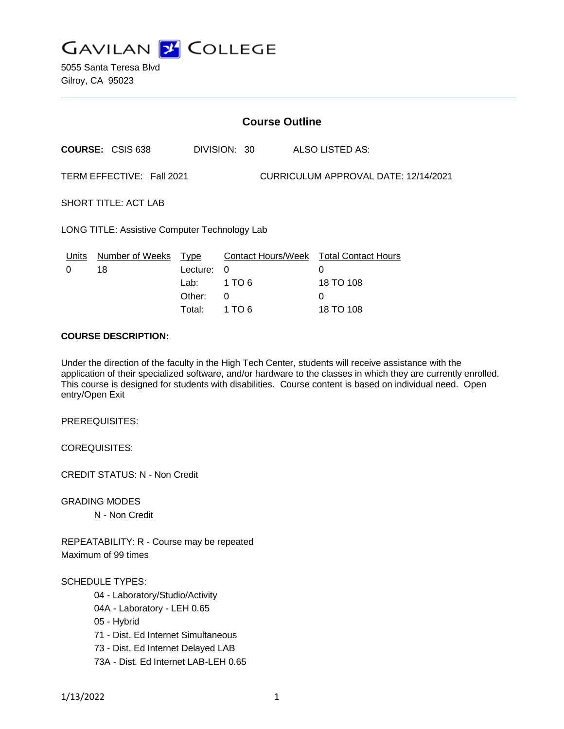

5055 Santa Teresa Blvd Gilroy, CA 95023

| <b>Course Outline</b>                                             |                              |                                                     |                                   |                           |                                                                |
|-------------------------------------------------------------------|------------------------------|-----------------------------------------------------|-----------------------------------|---------------------------|----------------------------------------------------------------|
|                                                                   | <b>COURSE: CSIS 638</b>      | DIVISION: 30                                        |                                   |                           | ALSO LISTED AS:                                                |
| TERM EFFECTIVE: Fall 2021<br>CURRICULUM APPROVAL DATE: 12/14/2021 |                              |                                                     |                                   |                           |                                                                |
| <b>SHORT TITLE: ACT LAB</b>                                       |                              |                                                     |                                   |                           |                                                                |
| LONG TITLE: Assistive Computer Technology Lab                     |                              |                                                     |                                   |                           |                                                                |
| Units<br>0                                                        | <b>Number of Weeks</b><br>18 | <u>Type</u><br>Lecture:<br>Lab:<br>Other:<br>Total: | $\Omega$<br>1 TO 6<br>0<br>1 TO 6 | <b>Contact Hours/Week</b> | <b>Total Contact Hours</b><br>0<br>18 TO 108<br>0<br>18 TO 108 |
|                                                                   |                              |                                                     |                                   |                           |                                                                |

## **COURSE DESCRIPTION:**

Under the direction of the faculty in the High Tech Center, students will receive assistance with the application of their specialized software, and/or hardware to the classes in which they are currently enrolled. This course is designed for students with disabilities. Course content is based on individual need. Open entry/Open Exit

PREREQUISITES:

COREQUISITES:

CREDIT STATUS: N - Non Credit

GRADING MODES

N - Non Credit

REPEATABILITY: R - Course may be repeated Maximum of 99 times

#### SCHEDULE TYPES:

- 04 Laboratory/Studio/Activity
- 04A Laboratory LEH 0.65
- 05 Hybrid
- 71 Dist. Ed Internet Simultaneous
- 73 Dist. Ed Internet Delayed LAB
- 73A Dist. Ed Internet LAB-LEH 0.65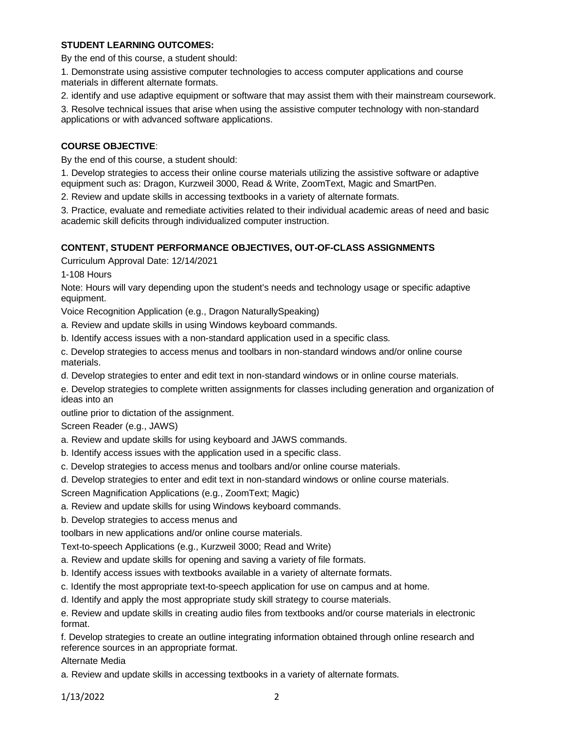# **STUDENT LEARNING OUTCOMES:**

By the end of this course, a student should:

1. Demonstrate using assistive computer technologies to access computer applications and course materials in different alternate formats.

2. identify and use adaptive equipment or software that may assist them with their mainstream coursework.

3. Resolve technical issues that arise when using the assistive computer technology with non-standard applications or with advanced software applications.

# **COURSE OBJECTIVE**:

By the end of this course, a student should:

1. Develop strategies to access their online course materials utilizing the assistive software or adaptive equipment such as: Dragon, Kurzweil 3000, Read & Write, ZoomText, Magic and SmartPen.

2. Review and update skills in accessing textbooks in a variety of alternate formats.

3. Practice, evaluate and remediate activities related to their individual academic areas of need and basic academic skill deficits through individualized computer instruction.

# **CONTENT, STUDENT PERFORMANCE OBJECTIVES, OUT-OF-CLASS ASSIGNMENTS**

Curriculum Approval Date: 12/14/2021

1-108 Hours

Note: Hours will vary depending upon the student's needs and technology usage or specific adaptive equipment.

Voice Recognition Application (e.g., Dragon NaturallySpeaking)

a. Review and update skills in using Windows keyboard commands.

b. Identify access issues with a non-standard application used in a specific class.

c. Develop strategies to access menus and toolbars in non-standard windows and/or online course materials.

d. Develop strategies to enter and edit text in non-standard windows or in online course materials.

e. Develop strategies to complete written assignments for classes including generation and organization of ideas into an

outline prior to dictation of the assignment.

Screen Reader (e.g., JAWS)

- a. Review and update skills for using keyboard and JAWS commands.
- b. Identify access issues with the application used in a specific class.
- c. Develop strategies to access menus and toolbars and/or online course materials.
- d. Develop strategies to enter and edit text in non-standard windows or online course materials.

Screen Magnification Applications (e.g., ZoomText; Magic)

- a. Review and update skills for using Windows keyboard commands.
- b. Develop strategies to access menus and

toolbars in new applications and/or online course materials.

Text-to-speech Applications (e.g., Kurzweil 3000; Read and Write)

- a. Review and update skills for opening and saving a variety of file formats.
- b. Identify access issues with textbooks available in a variety of alternate formats.
- c. Identify the most appropriate text-to-speech application for use on campus and at home.
- d. Identify and apply the most appropriate study skill strategy to course materials.

e. Review and update skills in creating audio files from textbooks and/or course materials in electronic format.

f. Develop strategies to create an outline integrating information obtained through online research and reference sources in an appropriate format.

Alternate Media

a. Review and update skills in accessing textbooks in a variety of alternate formats.

1/13/2022 2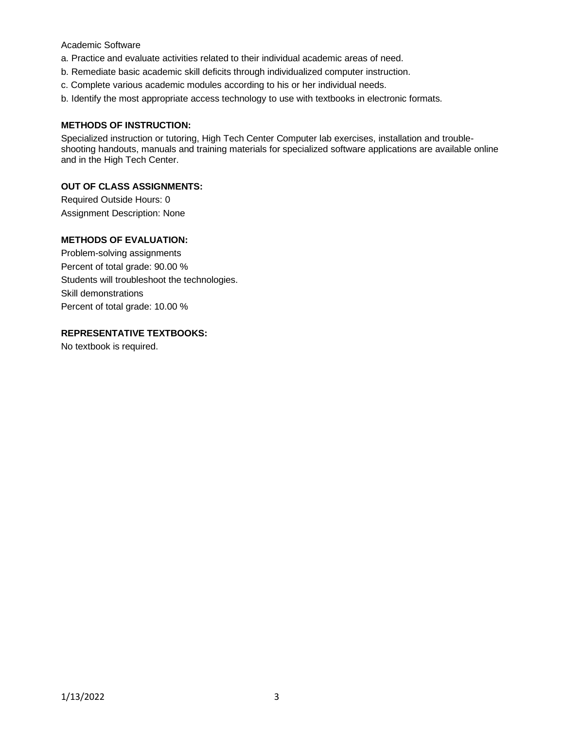## Academic Software

- a. Practice and evaluate activities related to their individual academic areas of need.
- b. Remediate basic academic skill deficits through individualized computer instruction.
- c. Complete various academic modules according to his or her individual needs.
- b. Identify the most appropriate access technology to use with textbooks in electronic formats.

### **METHODS OF INSTRUCTION:**

Specialized instruction or tutoring, High Tech Center Computer lab exercises, installation and troubleshooting handouts, manuals and training materials for specialized software applications are available online and in the High Tech Center.

## **OUT OF CLASS ASSIGNMENTS:**

Required Outside Hours: 0 Assignment Description: None

# **METHODS OF EVALUATION:**

Problem-solving assignments Percent of total grade: 90.00 % Students will troubleshoot the technologies. Skill demonstrations Percent of total grade: 10.00 %

## **REPRESENTATIVE TEXTBOOKS:**

No textbook is required.